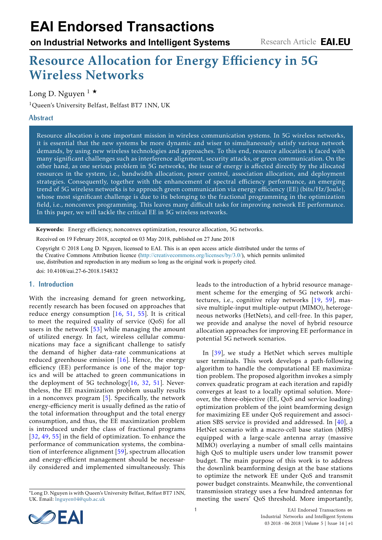# **EAI Endorsed Transactions**

**on Industrial Networks and Intelligent Systems**

# Resource Allocation for Energy Efficiency in 5G Wireless Networks

Long D. Nguyen  $1 \star$ 

<sup>1</sup>Queen's University Belfast, Belfast BT7 1NN, UK

# **Abstract**

Resource allocation is one important mission in wireless communication systems. In 5G wireless networks, it is essential that the new systems be more dynamic and wiser to simultaneously satisfy various network demands, by using new wireless technologies and approaches. To this end, resource allocation is faced with many significant challenges such as interference alignment, security attacks, or green communication. On the other hand, as one serious problem in 5G networks, the issue of energy is affected directly by the allocated resources in the system, i.e., bandwidth allocation, power control, association allocation, and deployment strategies. Consequently, together with the enhancement of spectral efficiency performance, an emerging trend of 5G wireless networks is to approach green communication via energy efficiency (EE) (bits/Hz/Joule), whose most significant challenge is due to its belonging to the fractional programming in the optimization field, i.e., nonconvex programming. This leaves many difficult tasks for improving network EE performance. In this paper, we will tackle the critical EE in 5G wireless networks.

Keywords: Energy efficiency, nonconvex optimization, resource allocation, 5G networks.

Received on 19 February 2018, accepted on 03 May 2018, published on 27 June 2018

Copyright © 2018 Long D. Nguyen, licensed to EAI. This is an open access article distributed under the terms of the Creative Commons Attribution licence (http://creativecommons.org/licenses/by/3.0/), which permits unlimited use, distribution and reproduction in any medium so long as the original work is properly cited.

doi: 10.4108/eai.27-6-2018.154832

#### **1. Introduction**

With the increasing demand for green networking, recently research has been fo[cuse](#page-5-0)[d o](#page-6-0)[n ap](#page-6-1)proaches that reduce energy consu[mpt](#page-6-2)ion [16, 51, 55]. It is critical to meet the required quality of service (QoS) for all users in the network  $[53]$  while managing the amount of utilized energy. In fact, wireless cellular communications may face a significa[nt](#page-5-0) challenge to satisfy the demand of higher data-rate communications at reduced greenhouse emission  $[16]$ . Hence, the energy efficiency (EE) performance is one of the major topics and will be attached to green [com](#page-5-0)[mu](#page-5-1)[nica](#page-6-0)tions in the deployment of 5G technology $[16, 32, 51]$ . Nevertheless, the EE maximiza[tio](#page-5-2)n problem usually results in a nonconvex program  $[5]$ . Specifically, the network energy-efficiency merit is usually defined as the ratio of the total information throughput and the total energy [con](#page-5-1)[sum](#page-6-3)[ptio](#page-6-1)n, and thus, the EE maximization problem is introduced under the class of fractional programs [32, 49, 55] in the field of opti[miza](#page-6-4)tion. To enhance the performance of communication systems, the combination of interference alignment [59], spectrum allocation and energy-efficient management should be necessarily considered and implemented simultaneously. This leads to the introduction of a hybrid res[ourc](#page-5-3)[e m](#page-6-4)anagement scheme for the emerging of 5G network architectures, i.e., cognitive relay networks [19, 59], massive multiple-input multiple-output (MIMO), heterogeneous networks (HetNets), and cell-free. In this paper, we provide and analyse the novel of hybrid resource allocation approaches for improving EE performance in poten[tial](#page-6-5) 5G network scenarios.

In [39], we study a HetNet which serves multiple user terminals. This work develops a path-following algorithm to handle the computational EE maximization problem. The proposed algorithm invokes a simply convex quadratic program at each iteration and rapidly converges at least to a locally optimal solution. Moreover, the three-objective (EE, QoS and service loading) optimization problem of the joint beamforming design for maximizing EE under QoS requirement and [asso](#page-6-6)ciation SBS service is provided and addressed. In [40], a HetNet scenario with a macro-cell base station (MBS) equipped with a large-scale antenna array (massive MIMO) overlaying a number of small cells maintains high QoS to multiple users under low transmit power budget. The main purpose of this work is to address the downlink beamforming design at the base stations to optimize the network EE under QoS and transmit power budget constraints. Meanwhile, the conventional transmission strategy uses a few hundred antennas for meeting the users' QoS threshold. More importantly,



<sup>∗</sup>Long D. N[guyen is with Queen's U](mailto:<lnguyen04@qub.ac.uk>)niversity Belfast, Belfast BT7 1NN, UK. Email: lnguyen04@qub.ac.uk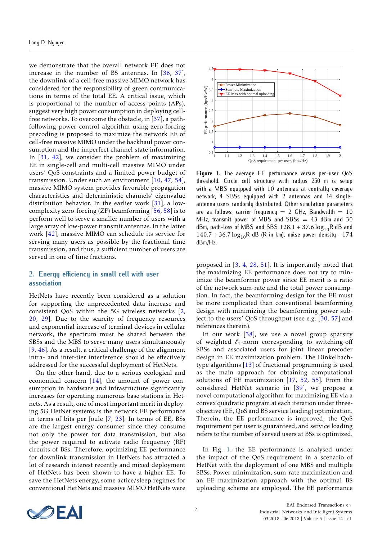we demonstrate that the overall network EE does not increase in the number of BS antennas. In [\[36,](#page-6-7) [37\]](#page-6-8), the downlink of a cell-free massive MIMO network has considered for the responsibility of green communications in terms of the total EE. A critical issue, which is proportional to the number of access points (APs), suggest very high power consumption in deploying cellfree networks. To overcome the obstacle, in  $[37]$ , a pathfollowing power control algorithm using zero-forcing precoding is proposed to maximize the network EE of cell-free massive MIMO under the backhaul power consumption and the imperfect channel state information. In  $[31, 42]$  $[31, 42]$  $[31, 42]$ , we consider the problem of maximizing EE in single-cell and multi-cell massive MIMO under users' QoS constraints and a limited power budget of transmission. Under such an environment [\[10,](#page-5-5) [47,](#page-6-10) [54\]](#page-6-11), massive MIMO system provides favorable propagation characteristics and deterministic channels' eigenvalue distribution behavior. In the earlier work [\[31\]](#page-5-4), a lowcomplexity zero-forcing (ZF) beamforming [\[56,](#page-6-12) [58\]](#page-6-13) is to perform well to serve a smaller number of users with a large array of low-power transmit antennas. In the latter work [\[42\]](#page-6-9), massive MIMO can schedule its service for serving many users as possible by the fractional time transmission, and thus, a sufficient number of users are served in one of time fractions.

#### **2. Energy efficiency in small cell with user association**

HetNets have recently been considered as a solution for supporting the unprecedented data increase and consistent QoS within the 5G wireless networks [\[2,](#page-5-6) [20,](#page-5-7) [29\]](#page-5-8). Due to the scarcity of frequency resources and exponential increase of terminal devices in cellular network, the spectrum must be shared between the SBSs and the MBS to serve many users simultaneously [\[9,](#page-5-9) [46\]](#page-6-14). As a result, a critical challenge of the alignment intra- and inter-tier interference should be effectively addressed for the successful deployment of HetNets.

On the other hand, due to a serious ecological and economical concern  $[14]$ , the amount of power consumption in hardware and infrastructure significantly increases for operating numerous base stations in Hetnets. As a result, one of most important merit in deploying 5G HetNet systems is the network EE performance in terms of bits per Joule [\[7,](#page-5-11) [23\]](#page-5-12). In terms of EE, BSs are the largest energy consumer since they consume not only the power for data transmission, but also the power required to activate radio frequency (RF) circuits of BSs. Therefore, optimizing EE performance for downlink transmission in HetNets has attracted a lot of research interest recently and mixed deployment of HetNets has been shown to have a higher EE. To save the HetNets energy, some actice/sleep regimes for conventional HetNets and massive MIMO HetNets were

<span id="page-1-0"></span>

**Figure 1.** The average EE performance versus per-user QoS threshold. Circle cell structure with radius 250 m is setup with a MBS equipped with 10 antennas at centrally coverage network, 4 SBSs equipped with 2 antennas and 14 singleantenna users randomly distributed. Other simulation parameters are as follows: carrier frequency  $= 2$  GHz, Bandwidth  $= 10$ MHz, transmit power of MBS and SBSs  $= 43$  dBm and 30 dBm, path-loss of MBS and SBS  $128.1 + 37.6 \log_{10} R$  dB and 140.7 + 36.7 log<sub>10</sub>R dB (R in km), noise power density −174 dBm/Hz.

proposed in [\[3,](#page-5-13) [4,](#page-5-14) [28,](#page-5-15) [51\]](#page-6-0). It is importantly noted that the maximizing EE performance does not try to minimize the beamformer power since EE merit is a ratio of the network sum-rate and the total power consumption. In fact, the beamforming design for the EE must be more complicated than conventional beamforming design with minimizing the beamforming power subject to the users' QoS throughput (see e.g. [\[30,](#page-5-16) [57\]](#page-6-15) and references therein).

In our work  $[38]$ , we use a novel group sparsity of weighted  $\ell_1$ -norm corresponding to switching-off SBSs and associated users for joint linear precoder design in EE maximization problem. The Dinkelbachtype algorithms [\[13\]](#page-5-17) of fractional programming is used as the main approach for obtaining computational solutions of EE maximization  $[17, 52, 55]$  $[17, 52, 55]$  $[17, 52, 55]$  $[17, 52, 55]$  $[17, 52, 55]$ . From the considered HetNet scenario in [\[39\]](#page-6-5), we propose a novel computational algorithm for maximizing EE via a convex quadratic program at each iteration under threeobjective (EE, QoS and BS service loading) optimization. Therein, the EE performance is improved, the QoS requirement per user is guaranteed, and service loading refers to the number of served users at BSs is optimized.

In Fig. [1,](#page-1-0) the EE performance is analysed under the impact of the QoS requirement in a scenario of HetNet with the deployment of one MBS and multiple SBSs. Power minimization, sum-rate maximization and an EE maximization approach with the optimal BS uploading scheme are employed. The EE performance

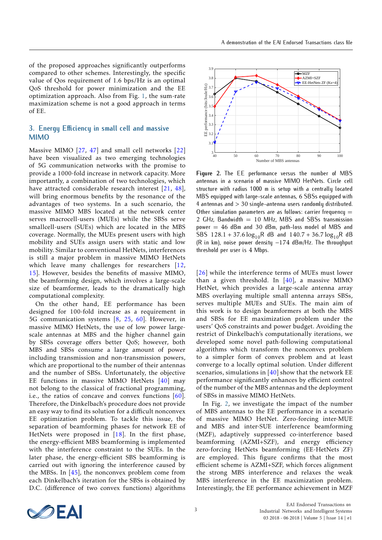of the proposed approaches significantly outperforms compared to other schemes. Interestingly, the specific value of Qos requirement of 1*.*6 bps/Hz is an optimal QoS threshold for power minimization and the EE optimization approach. Also from Fig. [1,](#page-1-0) the sum-rate maximization scheme is not a good approach in terms of EE.

## **3. Energy Efficiency in small cell and massive MIMO**

Massive MIMO [\[27,](#page-5-19) [47\]](#page-6-10) and small cell networks [\[22\]](#page-5-20) have been visualized as two emerging technologies of 5G communication networks with the promise to provide a 1000-fold increase in network capacity. More importantly, a combination of two technologies, which have attracted considerable research interest [\[21,](#page-5-21) [48\]](#page-6-18), will bring enormous benefits by the resonance of the advantages of two systems. In a such scenario, the massive MIMO MBS located at the network center serves macrocell-users (MUEs) while the SBSs serve smallcell-users (SUEs) which are located in the MBS coverage. Normally, the MUEs present users with high mobility and SUEs assign users with static and low mobility. Similar to conventional HetNets, interferences is still a major problem in massive MIMO HetNets which leave many challenges for researchers [\[12,](#page-5-22) [15\]](#page-5-23). However, besides the benefits of massive MIMO, the beamforming design, which involves a large-scale size of beamformer, leads to the dramatically high computational complexity.

On the other hand, EE performance has been designed for 100-fold increase as a requirement in 5G communication systems [\[8,](#page-5-24) [25,](#page-5-25) [60\]](#page-6-19). However, in massive MIMO HetNets, the use of low power largescale antennas at MBS and the higher channel gain by SBSs coverage offers better QoS; however, both MBS and SBSs consume a large amount of power including transmission and non-transmission powers, which are proportional to the number of their antennas and the number of SBSs. Unfortunately, the objective EE functions in massive MIMO HetNets [\[40\]](#page-6-6) may not belong to the classical of fractional programming, i.e., the ratios of concave and convex functions [\[60\]](#page-6-19). Therefore, the Dinkelbach's procedure does not provide an easy way to find its solution for a difficult nonconvex EE optimization problem. To tackle this issue, the separation of beamforming phases for network EE of HetNets were proposed in [\[18\]](#page-5-26). In the first phase, the energy-efficient MBS beamforming is implemented with the interference constraint to the SUEs. In the later phase, the energy-efficient SBS beamforming is carried out with ignoring the interference caused by the MBSs. In  $[45]$ , the nonconvex problem come from each Dinkelbach's iteration for the SBSs is obtained by D.C. (difference of two convex functions) algorithms

<span id="page-2-0"></span>

**Figure 2.** The EE performance versus the number of MBS antennas in a scenario of massive MIMO HetNets. Circle cell structure with radius 1000 m is setup with a centrally located MBS equipped with large-scale antennas, 6 SBSs equipped with 4 antennas and *>* 30 single-antenna users randomly distributed. Other simulation parameters are as follows: carrier frequency  $=$ 2 GHz, Bandwidth  $= 10$  MHz, MBS and SBSs transmission power = 46 dBm and 30 dBm, path-loss model of MBS and SBS  $128.1 + 37.6 \log_{10} R$  dB and  $140.7 + 36.7 \log_{10} R$  dB (R in km), noise power density −174 dBm/Hz. The throughput threshold per user is 4 Mbps.

[\[26\]](#page-5-27) while the interference terms of MUEs must lower than a given threshold. In  $[40]$ , a massive MIMO HetNet, which provides a large-scale antenna array MBS overlaying multiple small antenna arrays SBSs, serves multiple MUEs and SUEs. The main aim of this work is to design beamformers at both the MBS and SBSs for EE maximization problem under the users' QoS constraints and power budget. Avoiding the restrict of Dinkelbach's computationally iterations, we developed some novel path-following computational algorithms which transform the nonconvex problem to a simpler form of convex problem and at least converge to a locally optimal solution. Under different scenarios, simulations in  $[40]$  show that the network EE performance significantly enhances by efficient control of the number of the MBS antennas and the deployment of SBSs in massive MIMO HetNets.

In Fig. [2,](#page-2-0) we investigate the impact of the number of MBS antennas to the EE performance in a scenario of massive MIMO HetNet. Zero-forcing inter-MUE and MBS and inter-SUE interference beamforming (MZF), adaptively suppressed co-interference based beamforming (AZMI+SZF), and energy efficiency zero-forcing HetNets beamforming (EE-HetNets ZF) are employed. This figure confirms that the most efficient scheme is AZMI+SZF, which forces alignment the strong MBS interference and relaxes the weak MBS interference in the EE maximization problem. Interestingly, the EE performance achievement in MZF

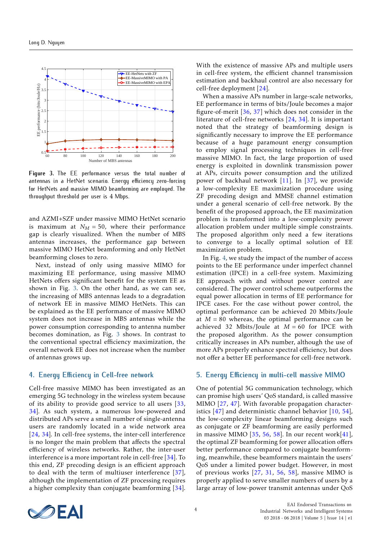<span id="page-3-0"></span>

**Figure 3.** The EE performance versus the total number of antennas in a HetNet scenario. Energy efficiency zero-forcing for HetNets and massive MIMO beamforming are employed. The throughput threshold per user is 4 Mbps.

and AZMI+SZF under massive MIMO HetNet scenario is maximum at  $N_M = 50$ , where their performance gap is clearly visualized. When the number of MBS antennas increases, the performance gap between massive MIMO HetNet beamforming and only HetNet beamforming closes to zero.

Next, instead of only using massive MIMO for maximizing EE performance, using massive MIMO HetNets offers significant benefit for the system EE as shown in Fig. [3.](#page-3-0) On the other hand, as we can see, the increasing of MBS antennas leads to a degradation of network EE in massive MIMO HetNets. This can be explained as the EE performance of massive MIMO system does not increase in MBS antennas while the power consumption corresponding to antenna number becomes domination, as Fig. [3](#page-3-0) shows. In contrast to the conventional spectral efficiency maximization, the overall network EE does not increase when the number of antennas grows up.

## **4. Energy Efficiency in Cell-free network**

Cell-free massive MIMO has been investigated as an emerging 5G technology in the wireless system because of its ability to provide good service to all users [\[33,](#page-5-28) [34\]](#page-5-29). As such system, a numerous low-powered and distributed APs serve a small number of single-antenna users are randomly located in a wide network area [\[24,](#page-5-30) [34\]](#page-5-29). In cell-free systems, the inter-cell interference is no longer the main problem that affects the spectral efficiency of wireless networks. Rather, the inter-user interference is a more important role in cell-free [\[34\]](#page-5-29). To this end, ZF precoding design is an efficient approach to deal with the term of multiuser interference [\[37\]](#page-6-8), although the implementation of ZF processing requires a higher complexity than conjugate beamforming [\[34\]](#page-5-29). With the existence of massive APs and multiple users in cell-free system, the efficient channel transmission estimation and backhaul control are also necessary for cell-free deployment [\[24\]](#page-5-30).

When a massive APs number in large-scale networks, EE performance in terms of bits/Joule becomes a major figure-of-merit [\[36,](#page-6-7) [37\]](#page-6-8) which does not consider in the literature of cell-free networks [\[24,](#page-5-30) [34\]](#page-5-29). It is important noted that the strategy of beamforming design is significantly necessary to improve the EE performance because of a huge paramount energy consumption to employ signal processing techniques in cell-free massive MIMO. In fact, the large proportion of used energy is exploited in downlink transmission power at APs, circuits power consumption and the utilized power of backhaul network [\[11\]](#page-5-31). In [\[37\]](#page-6-8), we provide a low-complexity EE maximization procedure using ZF precoding design and MMSE channel estimation under a general scenario of cell-free network. By the benefit of the proposed approach, the EE maximization problem is transformed into a low-complexity power allocation problem under multiple simple constraints. The proposed algorithm only need a few iterations to converge to a locally optimal solution of EE maximization problem.

In Fig. [4,](#page-4-0) we study the impact of the number of access points to the EE performance under imperfect channel estimation (IPCE) in a cell-free system. Maximizing EE approach with and without power control are considered. The power control scheme outperforms the equal power allocation in terms of EE performance for IPCE cases. For the case without power control, the optimal performance can be achieved 20 Mbits/Joule at  $M = 80$  whereas, the optimal performance can be achieved 32 Mbits/Joule at *M* = 60 for IPCE with the proposed algorithm. As the power consumption critically increases in APs number, although the use of more APs properly enhance spectral efficiency, but does not offer a better EE performance for cell-free network.

#### **5. Energy Efficiency in multi-cell massive MIMO**

One of potential 5G communication technology, which can promise high users' QoS standard, is called massive MIMO [\[27,](#page-5-19) [47\]](#page-6-10). With favorable propagation characteristics  $[47]$  and deterministic channel behavior  $[10, 54]$  $[10, 54]$  $[10, 54]$ , the low-complexity linear beamforming designs such as conjugate or ZF beamforming are easily performed in massive MIMO  $[35, 56, 58]$  $[35, 56, 58]$  $[35, 56, 58]$  $[35, 56, 58]$  $[35, 56, 58]$ . In our recent work $[41]$ , the optimal ZF beamforming for power allocation offers better performance compared to conjugate beamforming, meanwhile, these beamformers maintain the users' QoS under a limited power budget. However, in most of previous works [\[27,](#page-5-19) [31,](#page-5-4) [56,](#page-6-12) [58\]](#page-6-13), massive MIMO is properly applied to serve smaller numbers of users by a large array of low-power transmit antennas under QoS

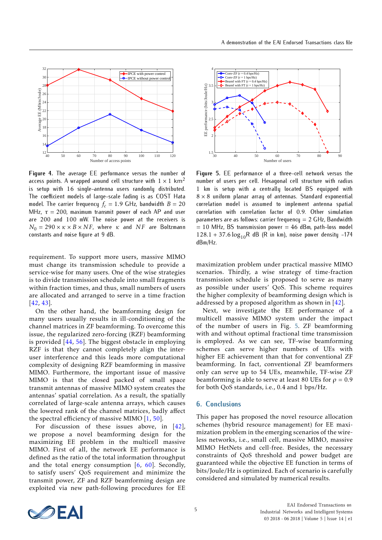<span id="page-4-0"></span>

**Figure 4.** The average EE performance versus the number of access points. A wrapped around cell structure with  $1 \times 1$  km<sup>2</sup> is setup with 16 single-antenna users randomly distributed. The coefficient models of large-scale fading is as COST Hata model. The carrier frequency  $f_c = 1.9$  GHz, bandwidth  $B = 20$ MHz,  $\tau = 200$ , maximum transmit power of each AP and user are 200 and 100 mW. The noise power at the receivers is  $N_0 = 290 \times \kappa \times B \times NF$ , where  $\kappa$  and *NF* are Boltzmann constants and noise figure at 9 dB.

requirement. To support more users, massive MIMO must change its transmission schedule to provide a service-wise for many users. One of the wise strategies is to divide transmission schedule into small fragments within fraction times, and thus, small numbers of users are allocated and arranged to serve in a time fraction [\[42,](#page-6-9) [43\]](#page-6-23).

On the other hand, the beamforming design for many users usually results in ill-conditioning of the channel matrices in ZF beamforming. To overcome this issue, the regularized zero-forcing (RZF) beamforming is provided [\[44,](#page-6-24) [56\]](#page-6-12). The biggest obstacle in employing RZF is that they cannot completely align the interuser interference and this leads more computational complexity of designing RZF beamforming in massive MIMO. Furthermore, the important issue of massive MIMO is that the closed packed of small space transmit antennas of massive MIMO system creates the antennas' spatial correlation. As a result, the spatially correlated of large-scale antenna arrays, which causes the lowered rank of the channel matrices, badly affect the spectral efficiency of massive MIMO [\[1,](#page-5-32) [50\]](#page-6-25).

For discussion of these issues above, in [\[42\]](#page-6-9), we propose a novel beamforming design for the maximizing EE problem in the multicell massive MIMO. First of all, the network EE performance is defined as the ratio of the total information throughput and the total energy consumption [\[6,](#page-5-33) [60\]](#page-6-19). Secondly, to satisfy users' QoS requirement and minimize the transmit power, ZF and RZF beamforming design are exploited via new path-following procedures for EE

<span id="page-4-1"></span>

**Figure 5.** EE performance of a three-cell network versus the number of users per cell. Hexagonal cell structure with radius 1 km is setup with a centrally located BS equipped with  $8 \times 8$  uniform planar array of antennas. Standard exponential correlation model is assumed to implement antenna spatial correlation with correlation factor of 0*.*9. Other simulation parameters are as follows: carrier frequency  $= 2$  GHz, Bandwidth  $= 10$  MHz, BS transmission power  $= 46$  dBm, path-loss model  $128.1 + 37.6 \log_{10} R$  dB (R in km), noise power density -174 dBm/Hz.

maximization problem under practical massive MIMO scenarios. Thirdly, a wise strategy of time-fraction transmission schedule is proposed to serve as many as possible under users' QoS. This scheme requires the higher complexity of beamforming design which is addressed by a proposed algorithm as shown in [\[42\]](#page-6-9).

Next, we investigate the EE performance of a multicell massive MIMO system under the impact of the number of users in Fig. [5.](#page-4-1) ZF beamforming with and without optimal fractional time transmission is employed. As we can see, TF-wise beamforming schemes can serve higher numbers of UEs with higher EE achievement than that for conventional ZF beamforming. In fact, conventional ZF beamformers only can serve up to 54 UEs, meanwhile, TF-wise ZF beamforming is able to serve at least 80 UEs for  $\rho = 0.9$ for both QoS standards, i.e., 0*.*4 and 1 bps/Hz.

#### **6. Conclusions**

This paper has proposed the novel resource allocation schemes (hybrid resource management) for EE maximization problem in the emerging scenarios of the wireless networks, i.e., small cell, massive MIMO, massive MIMO HetNets and cell-free. Besides, the necessary constraints of QoS threshold and power budget are guaranteed while the objective EE function in terms of bits/Joule/Hz is optimized. Each of scenario is carefully considered and simulated by numerical results.

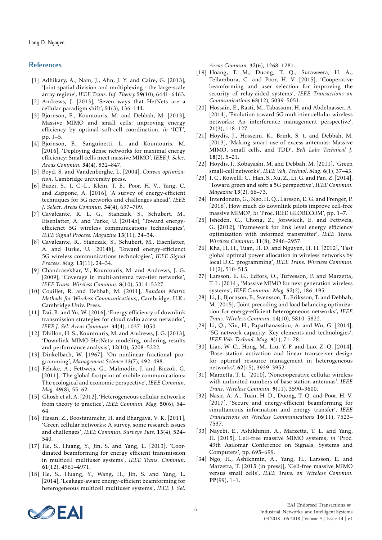#### **References**

- <span id="page-5-32"></span>[1] Adhikary, A., Nam, J., Ahn, J. Y. and Caire, G. [2013], 'Joint spatial division and multiplexing - the large-scale array regime', *IEEE Trans. Inf. Theory* 59(10), 6441–6463.
- <span id="page-5-6"></span>[2] Andrews, J. [2013], 'Seven ways that HetNets are a cellular paradigm shift', 51(3), 136–144.
- <span id="page-5-13"></span>[3] Bjornson, E., Kountouris, M. and Debbah, M. [2013], Massive MIMO and small cells: improving energy efficiency by optimal soft-cell coordination, *in* 'ICT', pp. 1–5.
- <span id="page-5-14"></span>[4] Bjornson, E., Sanguinetti, L. and Kountouris, M. [2016], 'Deploying dense networks for maximal energy efficiency: Small cells meet massive MIMO', *IEEE J. Selec. Areas Commun.* 34(4), 832–847.
- <span id="page-5-2"></span>[5] Boyd, S. and Vandenberghe, L. [2004], *Convex optimization*, Cambridge university press.
- <span id="page-5-33"></span>[6] Buzzi, S., I, C.-L., Klein, T. E., Poor, H. V., Yang, C. and Zappone, A. [2016], 'A survey of energy-efficient techniques for 5G networks and challenges ahead', *IEEE J. Select. Areas Commun.* 34(4), 697–709.
- <span id="page-5-11"></span>[7] Cavalcante, R. L. G., Stanczak, S., Schubert, M., Eisenlatter, A. and Turke, U. [2014*a*], 'Toward energyefficienct 5G wireless communications technologies', *IEEE Signal Process. Magazine* 13(11), 24–34.
- <span id="page-5-24"></span>[8] Cavalcante, R., Stanczak, S., Schubert, M., Eisenlatter, A. and Turke, U. [2014*b*], 'Toward energy-efficienct 5G wireless communications technologies', *IEEE Signal Process. Mag.* 13(11), 24–34.
- <span id="page-5-9"></span>[9] Chandrasekhar, V., Kountouris, M. and Andrews, J. G. [2009], 'Coverage in multi-antenna two-tier networks', *IEEE Trans. Wireless Commun.* 8(10), 5314–5327.
- <span id="page-5-5"></span>[10] Couillet, R. and Debbah, M. [2011], *Random Matrix Methods for Wireless Communications,*, Cambridge, U.K.: Cambridge Univ. Press.
- <span id="page-5-31"></span>[11] Dai, B. and Yu, W. [2016], 'Energy efficiency of downlink transmission strategies for cloud radio access networks', *IEEE J. Sel. Areas Commun.* 34(4), 1037–1050.
- <span id="page-5-22"></span>[12] Dhillon, H. S., Kountouris, M. and Andrews, J. G. [2013], 'Downlink MIMO HetNets: modeling, ordering results and performance analysis', 12(10), 5208–5222.
- <span id="page-5-17"></span>[13] Dinkelbach, W. [1967], 'On nonlinear fractional programming', *Management Science* 13(7), 492–498.
- <span id="page-5-10"></span>[14] Fehske, A., Fettweis, G., Malmodin, J. and Biczok, G. [2011], 'The global footprint of mobile communications: The ecological and economic perspective', *IEEE Commun. Mag.* 49(8), 55–62.
- <span id="page-5-23"></span>[15] Ghosh et al, A. [2012], 'Heterogeneous cellular networks: from theory to practice', *IEEE Commun. Mag.* 50(6), 54– 64.
- <span id="page-5-0"></span>[16] Hasan, Z., Boostanimehr, H. and Bhargava, V. K. [2011], 'Green cellular networks: A survey, some research issues and challenges', *IEEE Commun. Surveys Tuts.* 13(4), 524– 540.
- <span id="page-5-18"></span>[17] He, S., Huang, Y., Jin, S. and Yang, L. [2013], 'Coordinated beamforming for energy efficient transmission in multicell multiuser systems', *IEEE Trans. Commun.* 61(12), 4961–4971.
- <span id="page-5-26"></span>[18] He, S., Huang, Y., Wang, H., Jin, S. and Yang, L. [2014], 'Leakage-aware energy-efficient beamforming for heterogeneous multicell multiuser systems', *IEEE J. Sel.*

*Areas Commun.* 32(6), 1268–1281.

- <span id="page-5-3"></span>[19] Hoang, T. M., Duong, T. Q., Suraweera, H. A., Tellambura, C. and Poor, H. V. [2015], 'Cooperative beamforming and user selection for improving the security of relay-aided systems', *IEEE Transactions on Communications* 63(12), 5039–5051.
- <span id="page-5-7"></span>[20] Hossain, E., Rasti, M., Tabassum, H. and Abdelnasser, A. [2014], 'Evolution toward 5G multi-tier cellular wireless networks: An interference management perspective', 21(3), 118–127.
- <span id="page-5-21"></span>[21] Hoydis, J., Hosseini, K., Brink, S. t. and Debbah, M. [2013], 'Making smart use of excess antennas: Massive MIMO, small cells, and TDD', *Bell Labs Technical J.* 18(2), 5–21.
- <span id="page-5-20"></span>[22] Hoydis, J., Kobayashi, M. and Debbah, M. [2011], 'Green small-cell networks', *IEEE Veh. Technol. Mag.* 6(1), 37–43.
- <span id="page-5-12"></span>[23] I, C., Rowelll, C., Han, S., Xu, Z., Li, G. and Pan, Z. [2014], 'Toward green and soft: a 5G perspective', *IEEE Commun. Magazine* 13(2), 66–73.
- <span id="page-5-30"></span>[24] Interdonato, G., Ngo, H. Q., Larsson, E. G. and Frenger, P. [2016], How much do downlink pilots improve cell-free massive MIMO?, *in* 'Proc. IEEE GLOBECOM', pp. 1–7.
- <span id="page-5-25"></span>[25] Isheden, C., Chong, Z., Jorswieck, E. and Fettweis, G. [2012], 'Framework for link level energy efficiency optimization with informed transmitter', *IEEE Trans. Wireless Commun.* 11(8), 2946–2957.
- <span id="page-5-27"></span>[26] Kha, H. H., Tuan, H. D. and Nguyen, H. H. [2012], 'Fast global optimal power allocation in wireless networks by local D.C. programming', *IEEE Trans. Wireless Commun.* 11(2), 510–515.
- <span id="page-5-19"></span>[27] Larsson, E. G., Edfors, O., Tufvesson, F. and Marzetta, T. L. [2014], 'Massive MIMO for next generation wireless systems', *IEEE Commun. Mag.* 52(2), 186–195.
- <span id="page-5-15"></span>[28] Li, J., Bjornson, E., Svensson, T., Eriksson, T. and Debbah, M. [2015], 'Joint precoding and load balancing optimization for energy-efficient heterogeneous networks', *IEEE Trans. Wireless Commun.* 14(10), 5810–5822.
- <span id="page-5-8"></span>[29] Li, Q., Niu, H., Papathanassiou, A. and Wu, G. [2014], '5G network capacity: Key elements and technologies', *IEEE Veh. Technol. Mag.* 9(1), 71–78.
- <span id="page-5-16"></span>[30] Liao, W.-C., Hong, M., Liu, Y.-F. and Luo, Z.-Q. [2014], 'Base station activation and linear transceiver design for optimal resource management in heterogeneous networks', 62(15), 3939–3952.
- <span id="page-5-4"></span>[31] Marzetta, T. L. [2010], 'Noncooperative cellular wireless with unlimited numbers of base station antennas', *IEEE Trans. Wireless Commun.* 9(11), 3590–3600.
- <span id="page-5-1"></span>[32] Nasir, A. A., Tuan, H. D., Duong, T. Q. and Poor, H. V. [2017], 'Secure and energy-efficient beamforming for simultaneous information and energy transfer', *IEEE Transactions on Wireless Communications* 16(11), 7523– 7537.
- <span id="page-5-28"></span>[33] Nayebi, E., Ashikhmin, A., Marzetta, T. L. and Yang, H. [2015], Cell-free massive MIMO systems, *in* 'Proc. 49th Asilomar Conference on Signals, Systems and Computers', pp. 695–699.
- <span id="page-5-29"></span>[34] Ngo, H., Ashikhmin, A., Yang, H., Larsson, E. and Marzetta, T. [2015 (in press)], 'Cell-free massive MIMO versus small cells', *IEEE Trans. on Wireless Commun.* PP(99), 1–1.